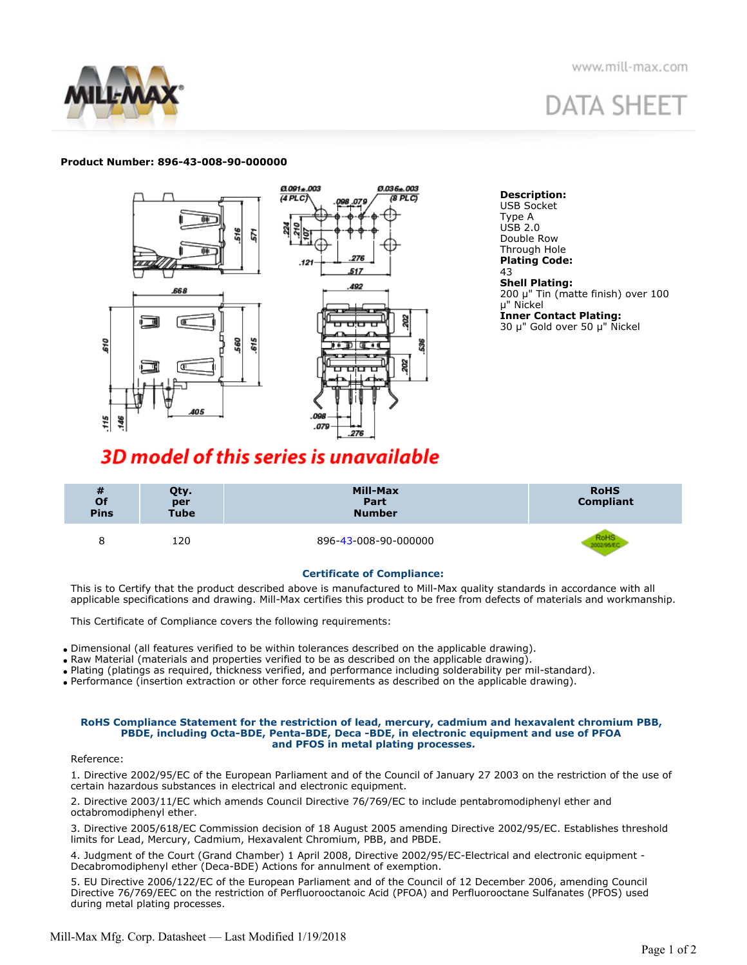



# **DATA SHEET**

#### **Product Number: 896-43-008-90-000000**



**Description:** USB Socket Type A USB 2.0 Double Row Through Hole **Plating Code:** 43 **Shell Plating:** 200 μ" Tin (matte finish) over 100 μ" Nickel **Inner Contact Plating:** 30 μ" Gold over 50 μ" Nickel

### **3D model of this series is unavailable**

| $\frac{\textit{#}}{\textit{Of}}$<br><b>Pins</b> | Qty.<br>per<br><b>Tube</b> | Mill-Max<br>Part<br><b>Number</b> | <b>RoHS</b><br><b>Compliant</b> |
|-------------------------------------------------|----------------------------|-----------------------------------|---------------------------------|
| 8                                               | 120                        | 896-43-008-90-000000              |                                 |

#### **Certificate of Compliance:**

This is to Certify that the product described above is manufactured to Mill-Max quality standards in accordance with all applicable specifications and drawing. Mill-Max certifies this product to be free from defects of materials and workmanship.

This Certificate of Compliance covers the following requirements:

- Dimensional (all features verified to be within tolerances described on the applicable drawing).
- Raw Material (materials and properties verified to be as described on the applicable drawing).
- Plating (platings as required, thickness verified, and performance including solderability per mil-standard).
- Performance (insertion extraction or other force requirements as described on the applicable drawing).

#### **RoHS Compliance Statement for the restriction of lead, mercury, cadmium and hexavalent chromium PBB, PBDE, including Octa-BDE, Penta-BDE, Deca -BDE, in electronic equipment and use of PFOA and PFOS in metal plating processes.**

#### Reference:

1. Directive 2002/95/EC of the European Parliament and of the Council of January 27 2003 on the restriction of the use of certain hazardous substances in electrical and electronic equipment.

2. Directive 2003/11/EC which amends Council Directive 76/769/EC to include pentabromodiphenyl ether and octabromodiphenyl ether.

3. Directive 2005/618/EC Commission decision of 18 August 2005 amending Directive 2002/95/EC. Establishes threshold limits for Lead, Mercury, Cadmium, Hexavalent Chromium, PBB, and PBDE.

4. Judgment of the Court (Grand Chamber) 1 April 2008, Directive 2002/95/EC-Electrical and electronic equipment - Decabromodiphenyl ether (Deca-BDE) Actions for annulment of exemption.

5. EU Directive 2006/122/EC of the European Parliament and of the Council of 12 December 2006, amending Council Directive 76/769/EEC on the restriction of Perfluorooctanoic Acid (PFOA) and Perfluorooctane Sulfanates (PFOS) used during metal plating processes.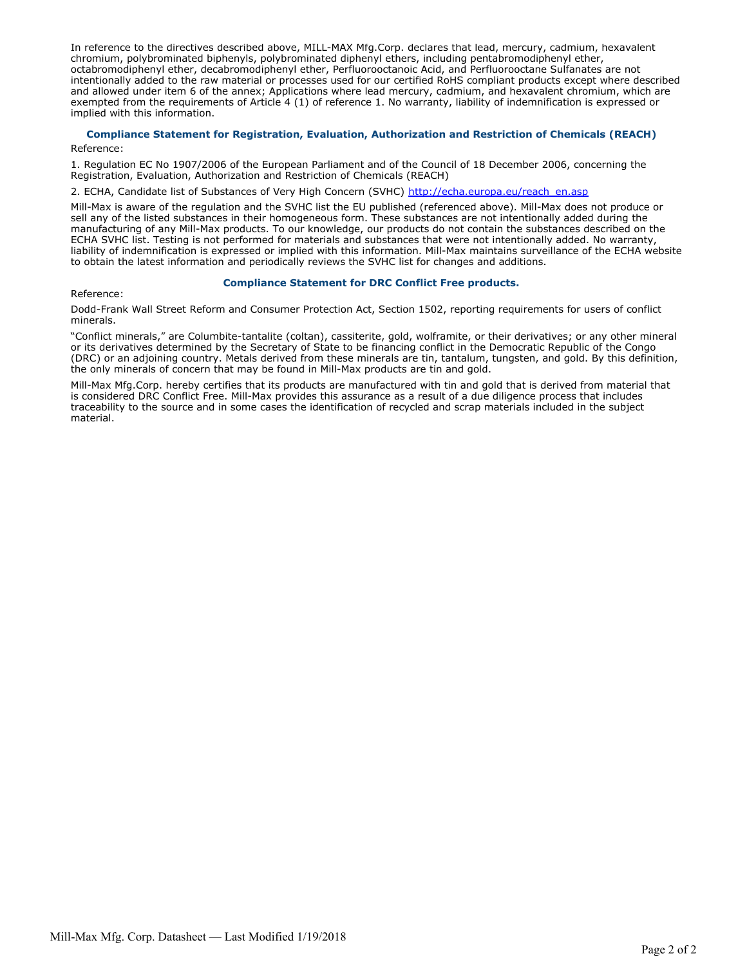In reference to the directives described above, MILL-MAX Mfg.Corp. declares that lead, mercury, cadmium, hexavalent chromium, polybrominated biphenyls, polybrominated diphenyl ethers, including pentabromodiphenyl ether, octabromodiphenyl ether, decabromodiphenyl ether, Perfluorooctanoic Acid, and Perfluorooctane Sulfanates are not intentionally added to the raw material or processes used for our certified RoHS compliant products except where described and allowed under item 6 of the annex; Applications where lead mercury, cadmium, and hexavalent chromium, which are exempted from the requirements of Article 4 (1) of reference 1. No warranty, liability of indemnification is expressed or implied with this information.

#### **Compliance Statement for Registration, Evaluation, Authorization and Restriction of Chemicals (REACH)**  Reference:

1. Regulation EC No 1907/2006 of the European Parliament and of the Council of 18 December 2006, concerning the Registration, Evaluation, Authorization and Restriction of Chemicals (REACH)

2. ECHA, Candidate list of Substances of Very High Concern (SVHC) [http://echa.europa.eu/reach\\_en.asp](http://echa.europa.eu/reach_en.asp)

Mill-Max is aware of the regulation and the SVHC list the EU published (referenced above). Mill-Max does not produce or sell any of the listed substances in their homogeneous form. These substances are not intentionally added during the manufacturing of any Mill-Max products. To our knowledge, our products do not contain the substances described on the ECHA SVHC list. Testing is not performed for materials and substances that were not intentionally added. No warranty, liability of indemnification is expressed or implied with this information. Mill-Max maintains surveillance of the ECHA website to obtain the latest information and periodically reviews the SVHC list for changes and additions.

#### **Compliance Statement for DRC Conflict Free products.**

Reference:

Dodd-Frank Wall Street Reform and Consumer Protection Act, Section 1502, reporting requirements for users of conflict minerals.

"Conflict minerals," are Columbite-tantalite (coltan), cassiterite, gold, wolframite, or their derivatives; or any other mineral or its derivatives determined by the Secretary of State to be financing conflict in the Democratic Republic of the Congo (DRC) or an adjoining country. Metals derived from these minerals are tin, tantalum, tungsten, and gold. By this definition, the only minerals of concern that may be found in Mill-Max products are tin and gold.

Mill-Max Mfg.Corp. hereby certifies that its products are manufactured with tin and gold that is derived from material that is considered DRC Conflict Free. Mill-Max provides this assurance as a result of a due diligence process that includes traceability to the source and in some cases the identification of recycled and scrap materials included in the subject material.